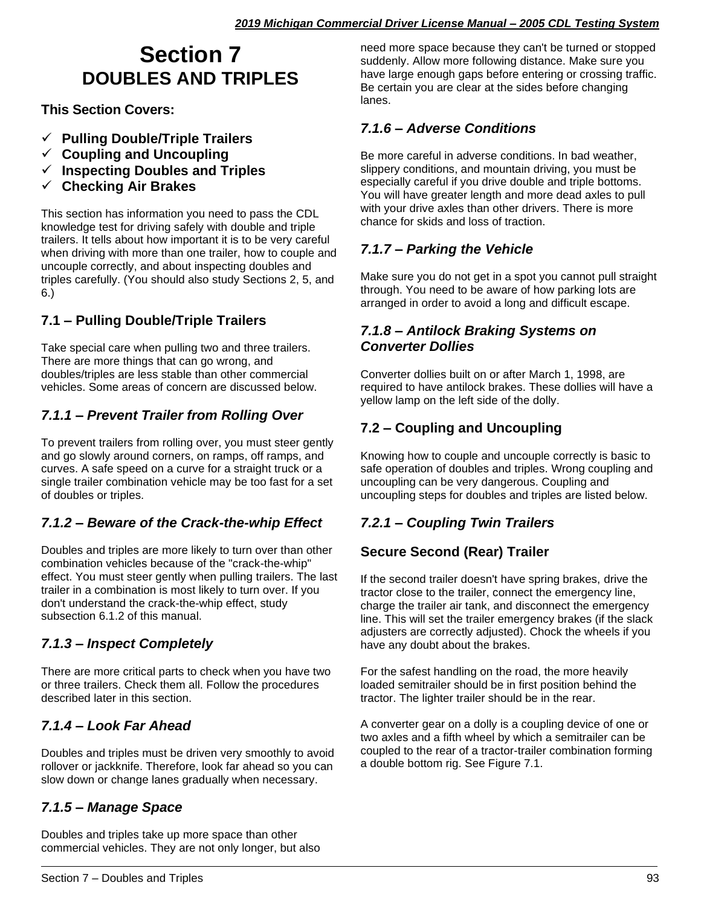# **Section 7 DOUBLES AND TRIPLES**

**This Section Covers:**

- ✓ **Pulling Double/Triple Trailers**
- ✓ **Coupling and Uncoupling**
- ✓ **Inspecting Doubles and Triples**
- ✓ **Checking Air Brakes**

This section has information you need to pass the CDL knowledge test for driving safely with double and triple trailers. It tells about how important it is to be very careful when driving with more than one trailer, how to couple and uncouple correctly, and about inspecting doubles and triples carefully. (You should also study Sections 2, 5, and 6.)

# **7.1 – Pulling Double/Triple Trailers**

Take special care when pulling two and three trailers. There are more things that can go wrong, and doubles/triples are less stable than other commercial vehicles. Some areas of concern are discussed below.

# *7.1.1 – Prevent Trailer from Rolling Over*

To prevent trailers from rolling over, you must steer gently and go slowly around corners, on ramps, off ramps, and curves. A safe speed on a curve for a straight truck or a single trailer combination vehicle may be too fast for a set of doubles or triples.

# *7.1.2 – Beware of the Crack-the-whip Effect*

Doubles and triples are more likely to turn over than other combination vehicles because of the "crack-the-whip" effect. You must steer gently when pulling trailers. The last trailer in a combination is most likely to turn over. If you don't understand the crack-the-whip effect, study subsection 6.1.2 of this manual.

# *7.1.3 – Inspect Completely*

There are more critical parts to check when you have two or three trailers. Check them all. Follow the procedures described later in this section.

# *7.1.4 – Look Far Ahead*

Doubles and triples must be driven very smoothly to avoid rollover or jackknife. Therefore, look far ahead so you can slow down or change lanes gradually when necessary.

### *7.1.5 – Manage Space*

Doubles and triples take up more space than other commercial vehicles. They are not only longer, but also need more space because they can't be turned or stopped suddenly. Allow more following distance. Make sure you have large enough gaps before entering or crossing traffic. Be certain you are clear at the sides before changing lanes.

### *7.1.6 – Adverse Conditions*

Be more careful in adverse conditions. In bad weather, slippery conditions, and mountain driving, you must be especially careful if you drive double and triple bottoms. You will have greater length and more dead axles to pull with your drive axles than other drivers. There is more chance for skids and loss of traction.

# *7.1.7 – Parking the Vehicle*

Make sure you do not get in a spot you cannot pull straight through. You need to be aware of how parking lots are arranged in order to avoid a long and difficult escape.

### *7.1.8 – Antilock Braking Systems on Converter Dollies*

Converter dollies built on or after March 1, 1998, are required to have antilock brakes. These dollies will have a yellow lamp on the left side of the dolly.

# **7.2 – Coupling and Uncoupling**

Knowing how to couple and uncouple correctly is basic to safe operation of doubles and triples. Wrong coupling and uncoupling can be very dangerous. Coupling and uncoupling steps for doubles and triples are listed below.

# *7.2.1 – Coupling Twin Trailers*

# **Secure Second (Rear) Trailer**

If the second trailer doesn't have spring brakes, drive the tractor close to the trailer, connect the emergency line, charge the trailer air tank, and disconnect the emergency line. This will set the trailer emergency brakes (if the slack adjusters are correctly adjusted). Chock the wheels if you have any doubt about the brakes.

For the safest handling on the road, the more heavily loaded semitrailer should be in first position behind the tractor. The lighter trailer should be in the rear.

A converter gear on a dolly is a coupling device of one or two axles and a fifth wheel by which a semitrailer can be coupled to the rear of a tractor-trailer combination forming a double bottom rig. See Figure 7.1.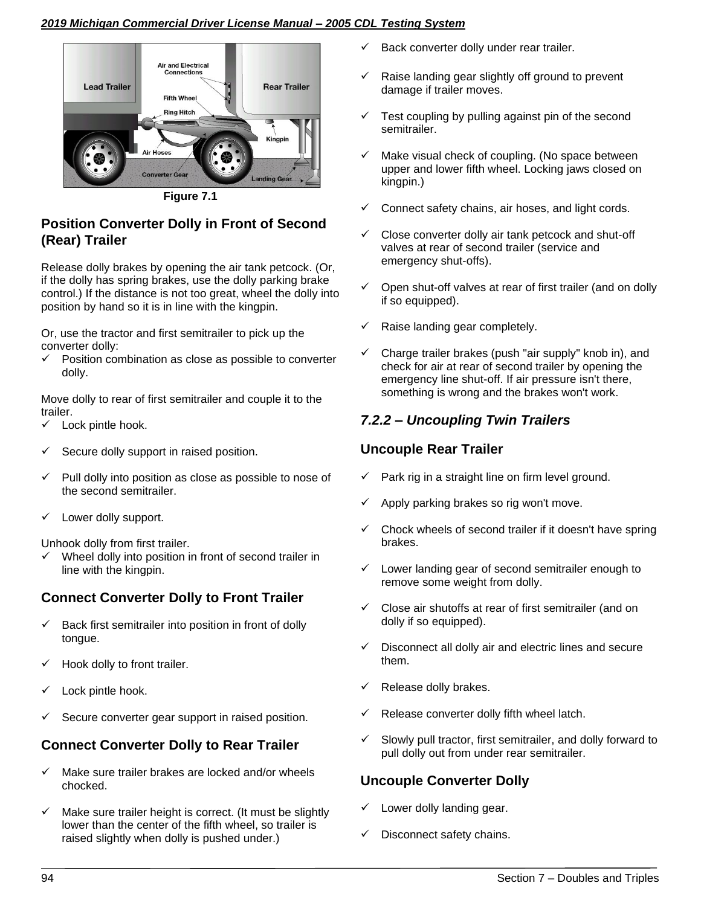#### *2019 Michigan Commercial Driver License Manual – 2005 CDL Testing System*



**Figure 7.1**

#### **Position Converter Dolly in Front of Second (Rear) Trailer**

Release dolly brakes by opening the air tank petcock. (Or, if the dolly has spring brakes, use the dolly parking brake control.) If the distance is not too great, wheel the dolly into position by hand so it is in line with the kingpin.

Or, use the tractor and first semitrailer to pick up the converter dolly:

Position combination as close as possible to converter dolly.

Move dolly to rear of first semitrailer and couple it to the trailer.

- $\checkmark$  Lock pintle hook.
- Secure dolly support in raised position.
- Pull dolly into position as close as possible to nose of the second semitrailer.
- $\checkmark$  Lower dolly support.

Unhook dolly from first trailer.

 $\checkmark$  Wheel dolly into position in front of second trailer in line with the kingpin.

### **Connect Converter Dolly to Front Trailer**

- Back first semitrailer into position in front of dolly tongue.
- Hook dolly to front trailer.
- Lock pintle hook.
- Secure converter gear support in raised position.

#### **Connect Converter Dolly to Rear Trailer**

- Make sure trailer brakes are locked and/or wheels chocked.
- $\checkmark$  Make sure trailer height is correct. (It must be slightly lower than the center of the fifth wheel, so trailer is raised slightly when dolly is pushed under.)
- Back converter dolly under rear trailer.
- $\checkmark$  Raise landing gear slightly off ground to prevent damage if trailer moves.
- $\checkmark$  Test coupling by pulling against pin of the second semitrailer.
- Make visual check of coupling. (No space between upper and lower fifth wheel. Locking jaws closed on kingpin.)
- Connect safety chains, air hoses, and light cords.
- Close converter dolly air tank petcock and shut-off valves at rear of second trailer (service and emergency shut-offs).
- Open shut-off valves at rear of first trailer (and on dolly if so equipped).
- $\checkmark$  Raise landing gear completely.
- Charge trailer brakes (push "air supply" knob in), and check for air at rear of second trailer by opening the emergency line shut-off. If air pressure isn't there, something is wrong and the brakes won't work.

#### *7.2.2 – Uncoupling Twin Trailers*

#### **Uncouple Rear Trailer**

- Park rig in a straight line on firm level ground.
- Apply parking brakes so rig won't move.
- Chock wheels of second trailer if it doesn't have spring brakes.
- ✓ Lower landing gear of second semitrailer enough to remove some weight from dolly.
- $\checkmark$  Close air shutoffs at rear of first semitrailer (and on dolly if so equipped).
- ✓ Disconnect all dolly air and electric lines and secure them.
- $\checkmark$  Release dolly brakes.
- Release converter dolly fifth wheel latch.
- Slowly pull tractor, first semitrailer, and dolly forward to pull dolly out from under rear semitrailer.

#### **Uncouple Converter Dolly**

- Lower dolly landing gear.
- Disconnect safety chains.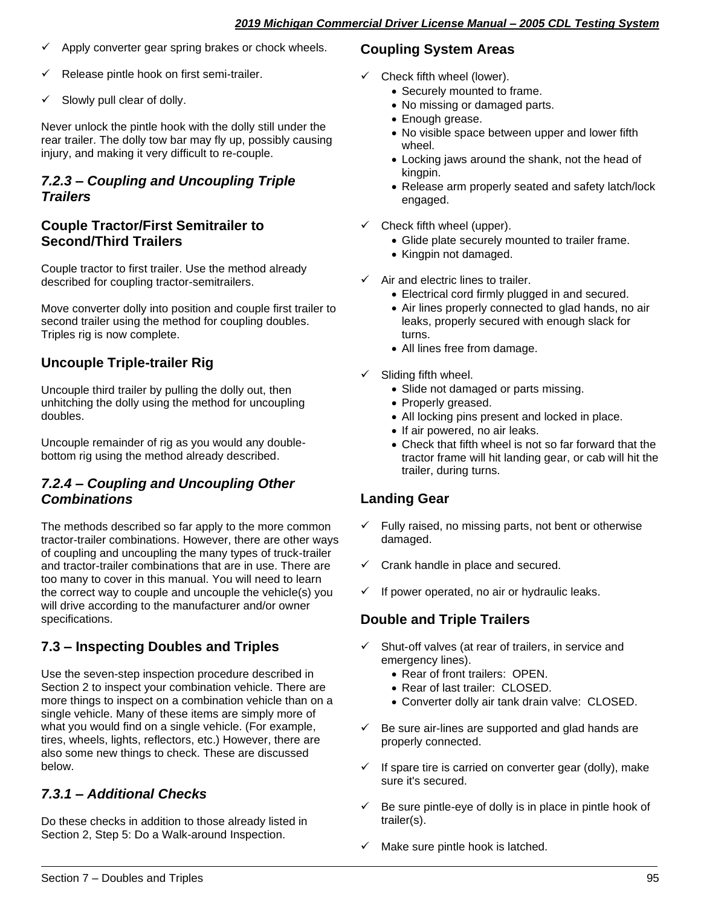- Apply converter gear spring brakes or chock wheels.
- Release pintle hook on first semi-trailer.
- Slowly pull clear of dolly.

Never unlock the pintle hook with the dolly still under the rear trailer. The dolly tow bar may fly up, possibly causing injury, and making it very difficult to re-couple.

#### *7.2.3 – Coupling and Uncoupling Triple Trailers*

#### **Couple Tractor/First Semitrailer to Second/Third Trailers**

Couple tractor to first trailer. Use the method already described for coupling tractor-semitrailers.

Move converter dolly into position and couple first trailer to second trailer using the method for coupling doubles. Triples rig is now complete.

### **Uncouple Triple-trailer Rig**

Uncouple third trailer by pulling the dolly out, then unhitching the dolly using the method for uncoupling doubles.

Uncouple remainder of rig as you would any doublebottom rig using the method already described.

#### *7.2.4 – Coupling and Uncoupling Other Combinations*

The methods described so far apply to the more common tractor-trailer combinations. However, there are other ways of coupling and uncoupling the many types of truck-trailer and tractor-trailer combinations that are in use. There are too many to cover in this manual. You will need to learn the correct way to couple and uncouple the vehicle(s) you will drive according to the manufacturer and/or owner specifications.

### **7.3 – Inspecting Doubles and Triples**

Use the seven-step inspection procedure described in Section 2 to inspect your combination vehicle. There are more things to inspect on a combination vehicle than on a single vehicle. Many of these items are simply more of what you would find on a single vehicle. (For example, tires, wheels, lights, reflectors, etc.) However, there are also some new things to check. These are discussed below.

#### *7.3.1 – Additional Checks*

Do these checks in addition to those already listed in Section 2, Step 5: Do a Walk-around Inspection.

#### **Coupling System Areas**

- $\checkmark$  Check fifth wheel (lower).
	- Securely mounted to frame.
	- No missing or damaged parts.
	- Enough grease.
	- No visible space between upper and lower fifth wheel.
	- Locking jaws around the shank, not the head of kingpin.
	- Release arm properly seated and safety latch/lock engaged.
- $\checkmark$  Check fifth wheel (upper).
	- Glide plate securely mounted to trailer frame.
	- Kingpin not damaged.
- $\checkmark$  Air and electric lines to trailer.
	- Electrical cord firmly plugged in and secured.
	- Air lines properly connected to glad hands, no air leaks, properly secured with enough slack for turns.
	- All lines free from damage.
- $\checkmark$  Sliding fifth wheel.
	- Slide not damaged or parts missing.
	- Properly greased.
	- All locking pins present and locked in place.
	- If air powered, no air leaks.
	- Check that fifth wheel is not so far forward that the tractor frame will hit landing gear, or cab will hit the trailer, during turns.

#### **Landing Gear**

- ✓ Fully raised, no missing parts, not bent or otherwise damaged.
- Crank handle in place and secured.
- If power operated, no air or hydraulic leaks.

#### **Double and Triple Trailers**

- ✓ Shut-off valves (at rear of trailers, in service and emergency lines).
	- Rear of front trailers: OPEN.
	- Rear of last trailer: CLOSED.
	- Converter dolly air tank drain valve: CLOSED.
- $\checkmark$  Be sure air-lines are supported and glad hands are properly connected.
- If spare tire is carried on converter gear (dolly), make sure it's secured.
- Be sure pintle-eye of dolly is in place in pintle hook of trailer(s).
- $\checkmark$  Make sure pintle hook is latched.